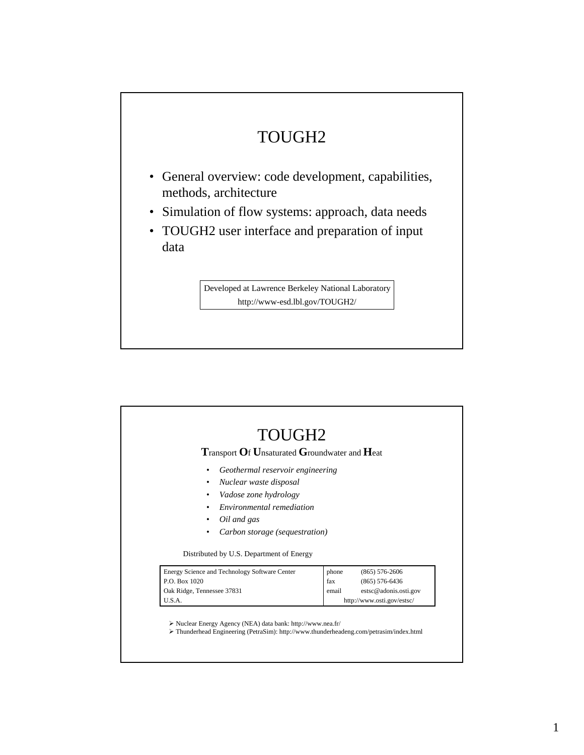## TOUGH2 • General overview: code development, capabilities, methods, architecture • Simulation of flow systems: approach, data needs • TOUGH2 user interface and preparation of input data

Developed at Lawrence Berkeley National Laboratory http://www-esd.lbl.gov/TOUGH2/

| <b>Transport Of Unsaturated Groundwater and Heat</b>                                                                                                                             |              |                                             |  |  |  |
|----------------------------------------------------------------------------------------------------------------------------------------------------------------------------------|--------------|---------------------------------------------|--|--|--|
| Geothermal reservoir engineering<br>٠<br>Nuclear waste disposal<br>٠<br>Vadose zone hydrology<br>Environmental remediation<br>Oil and gas<br>Carbon storage (sequestration)<br>٠ |              |                                             |  |  |  |
| Distributed by U.S. Department of Energy                                                                                                                                         |              |                                             |  |  |  |
| Energy Science and Technology Software Center                                                                                                                                    | phone        | $(865) 576 - 2606$                          |  |  |  |
| P.O. Box 1020<br>Oak Ridge, Tennessee 37831                                                                                                                                      | fax<br>email | $(865) 576 - 6436$<br>estsc@adonis.osti.gov |  |  |  |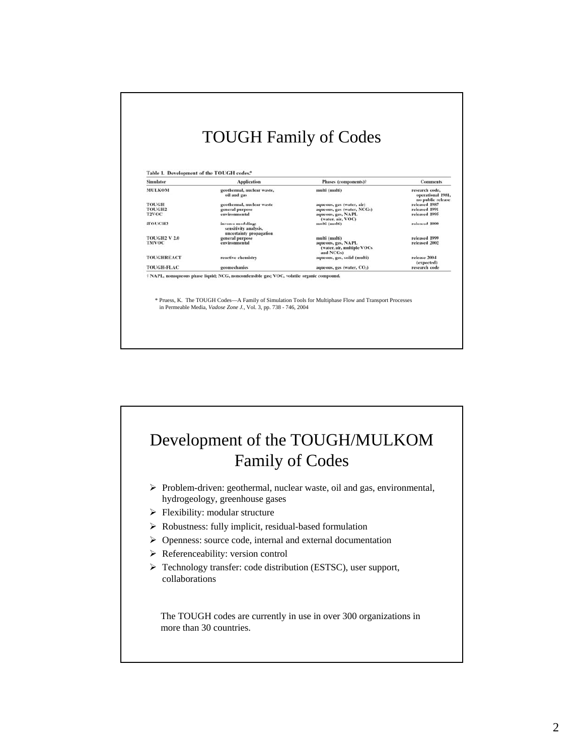|                     | Table 1. Development of the TOUGH codes.*                             |                                                                |                                                          |  |  |  |  |
|---------------------|-----------------------------------------------------------------------|----------------------------------------------------------------|----------------------------------------------------------|--|--|--|--|
| <b>Simulator</b>    | <b>Application</b>                                                    | Phases (components)?                                           | <b>Comments</b>                                          |  |  |  |  |
| <b>MULKOM</b>       | geothermal, nuclear waste,<br>oil and gas                             | multi (multi)                                                  | research code.<br>operational 1981.<br>no public release |  |  |  |  |
| <b>TOUGH</b>        | geothermal, nuclear waste                                             | aqueous, gas (water, air)                                      | released 1987                                            |  |  |  |  |
| <b>TOUGH2</b>       | general purpose                                                       | aqueous, gas (water, NCGs)                                     | released 1991                                            |  |  |  |  |
| <b>T2VOC</b>        | environmental                                                         | aqueous, gas, NAPL<br>(water, air, VOC)                        | released 1995                                            |  |  |  |  |
| iTOUGH2             | inverse modeling:<br>sensitivity analysis,<br>uncertainty propagation | multi (multi)                                                  | released 1999                                            |  |  |  |  |
| <b>TOUGH2 V 2.0</b> | general purpose                                                       | multi (multi)                                                  | released 1999                                            |  |  |  |  |
| <b>TMVOC</b>        | environmental                                                         | aqueous, gas, NAPL<br>(water, air, multiple VOCs)<br>and NCGs) | released 2002                                            |  |  |  |  |
| <b>TOUGHREACT</b>   | reactive chemistry                                                    | aqueous, gas, solid (multi)                                    | release 2004                                             |  |  |  |  |
|                     |                                                                       |                                                                | (expected)                                               |  |  |  |  |
| <b>TOUGH-FLAC</b>   | geomechanics                                                          | aqueous, gas (water, CO <sub>2</sub> )                         | research code                                            |  |  |  |  |

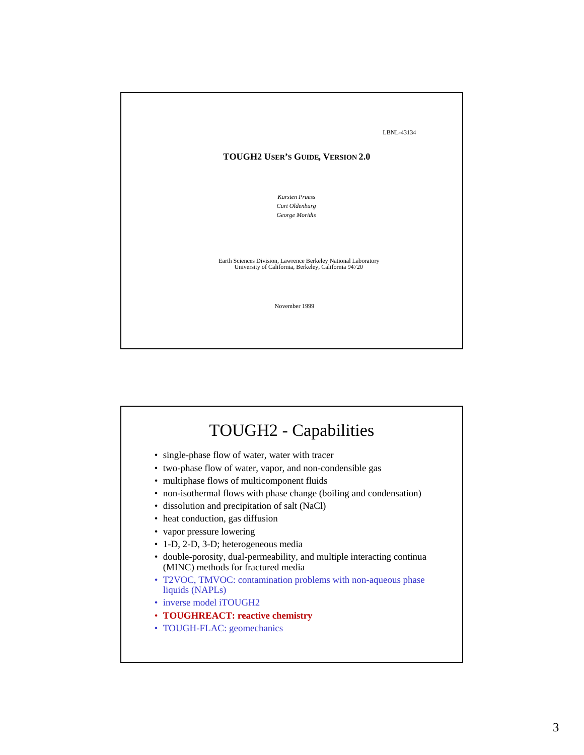

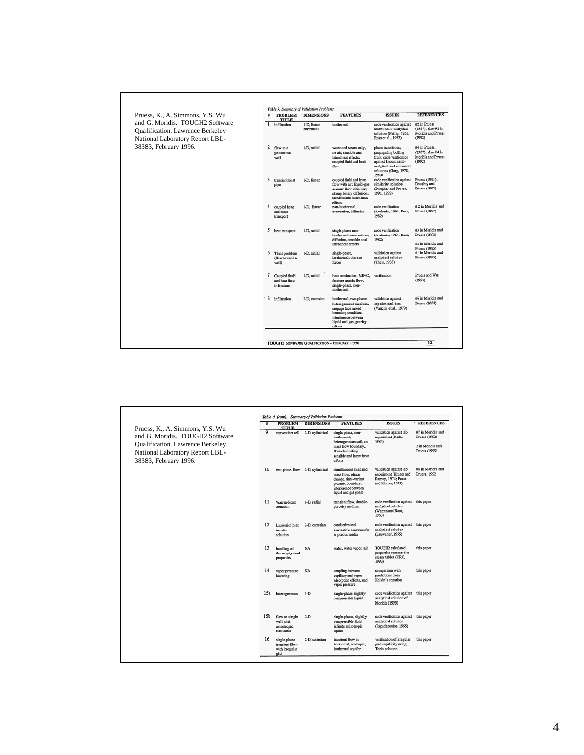| Pruess, K., A. Simmons, Y.S. Wu                                                                               | <b>PROBLEM</b><br><b>TITLE</b>                | <b>DIMENSIONS</b>         | <b>FEATURES</b>                                                                                                                                           | <b>ISSUES</b>                                                                                                                                               | <b>REFERENCES</b>                                                   |
|---------------------------------------------------------------------------------------------------------------|-----------------------------------------------|---------------------------|-----------------------------------------------------------------------------------------------------------------------------------------------------------|-------------------------------------------------------------------------------------------------------------------------------------------------------------|---------------------------------------------------------------------|
| and G. Moridis. TOUGH2 Software<br><b>Qualification.</b> Lawrence Berkeley<br>National Laboratory Report LBL- | infiltration                                  | 1-D. linear<br>horizontal | isothermal                                                                                                                                                | code verification against<br>known semi-analytical<br>solution (Philip, 1955;<br>Ross et al., 1982)                                                         | #2 in Pruess<br>(1987); also #1 in<br>Moridis and Pruess<br>(1992)  |
| 38383, February 1996.<br>$\overline{2}$                                                                       | flow to a<br>geothermal<br>well               | 1-D, radial               | water and steam only,<br>no air; sensible and<br>latent heat effects:<br>coupled fluid and heat<br>flow                                                   | phase transitions:<br>propagating boiling<br>front; code verification<br>against known semi-<br>analytical and numerical<br>solutions (Garg, 1978,<br>1980) | #4 in Pruess,<br>(1987), also #4 in<br>Moridis and Pruess<br>(1992) |
| 3                                                                                                             | transient heat<br>pipe                        | 1-D, linear               | coupled fluid and heat<br>flow with air; liquid-gas<br>counter-flow with very<br>strong binary diffusion;<br>sensible and latent heat<br>effects          | code verification against<br>similarity solution<br>(Doughty and Proess,<br>1991, 1992)                                                                     | Pruess (1991);<br>Doughty and<br>Pruess (1992)                      |
| 4                                                                                                             | coupled heat<br>and mass<br>transport         | 1-D, linear               | non-isothermal<br>convection, diffusion                                                                                                                   | code verification<br>(Avdonin, 1964, Ross,<br>1982)                                                                                                         | #2 in Moridis and<br>Pruess (1992)                                  |
| 5                                                                                                             | heat transport                                | 1-D, radial               | single phase non-<br>isothermal, convection,<br>diffusion, sensible and<br>latent heat effects                                                            | code verification<br>(Avdonin, 1964, Ross,<br>1982)                                                                                                         | #3 in Moridis and<br>Pruess (1992)<br>#2 in Moridis and             |
| 6                                                                                                             | Theis problem<br>(flow toward a<br>well)      | 1-D. radial               | single-phase,<br>isothermal, viscous<br>forces                                                                                                            | validation against<br>analytical solution<br>(Theis, 1935)                                                                                                  | Pruess (1995)<br>#1 in Moridis and<br>Pruess (1995)                 |
| $\tau$                                                                                                        | Coupled fluid<br>and heat flow<br>in fracture | 1-D, radial               | heat conduction, MINC,<br>fracture-matrix flow.<br>single-phase, non-<br>isothermal                                                                       | verification                                                                                                                                                | Pruess and Wu<br>(1993)                                             |
| 8                                                                                                             | infiltration                                  | 2-D. cartesian            | isothermal, two-phase<br>heterogeneous medium,<br>seepage face mixed<br>boundary condition.<br>interference between<br>liquid and gas, gravity<br>effects | validation against<br>experimental data<br>(Vauclin et al., 1979)                                                                                           | #6 in Moridis and<br>Pruess (1995)                                  |

 $\Gamma$ 

| Pruess, K., A. Simmons, Y.S. Wu                                                                                                       | ÷               | <b>PROBLEM</b><br><b>TITLE</b>                           | <b>DIMENSIONS</b>               | <b>FEATURES</b>                                                                                                                               | <b>ISSUES</b>                                                                               | <b>REFERENCES</b>                                                       |
|---------------------------------------------------------------------------------------------------------------------------------------|-----------------|----------------------------------------------------------|---------------------------------|-----------------------------------------------------------------------------------------------------------------------------------------------|---------------------------------------------------------------------------------------------|-------------------------------------------------------------------------|
| and G. Moridis TOUGH2 Software<br><b>Qualification.</b> Lawrence Berkeley<br>National Laboratory Report LBL-<br>38383, February 1996. | 9               | convection cell                                          | 2-D, cylindrical                | single phase, non-<br>isothermal.<br>heterogeneous soil, no<br>mass flow boundary,<br>flow channeling,<br>sensible and latent heat<br>effects | validation against lab<br>experiment (Reda,<br>1984)                                        | #7 in Moridis and<br>Pruess (1992)<br>3 in Moridis and<br>Pruess (1995) |
|                                                                                                                                       | 10              |                                                          | two-phase flow 2-D, cylindrical | simultaneous heat and<br>mass flow, phase<br>change, time-variant<br>pressure boundary,<br>interference between<br>liquid and gas phase       | validation against lab<br>experiment (Kruger and<br>Ramey, 1974; Faust<br>and Mercer, 1979) | #8 in Moridis and<br>Pruess, 1992                                       |
|                                                                                                                                       | 11              | Warren-Root<br>Solution                                  | 1-D, radial                     | transient flow, double-<br>porosity modium                                                                                                    | code verification against<br>analytical solution<br>(Warren and Root,<br>1963)              | this paper                                                              |
|                                                                                                                                       | 12              | Lauwerier heat<br>transfer<br>solution                   | 2-D, cartesian                  | conductive and<br>convective heat transfer<br>in porous media                                                                                 | code verification against<br>analytical solution<br>(Lauwerier, 1955)                       | this paper                                                              |
|                                                                                                                                       | 13              | handling of<br>thermophysical<br>properties              | NA                              | water, water vapor, air                                                                                                                       | TOUGH2 calculated<br>properties compared to<br>steam tables (CRC,<br>1993)                  | this paper                                                              |
|                                                                                                                                       | 14              | vapor pressure<br>lowcring                               | NA                              | coupling between<br>capillary and vapor<br>adsorption effects, and<br>vapor pressure                                                          | comparison with<br>predictions from<br>Kelvin's equation                                    | this paper                                                              |
|                                                                                                                                       | 15a             | heterogeneous                                            | $1-D$                           | single-phase slightly<br>compressible liquid                                                                                                  | code verification against<br>analytical solution of<br>Moridis (1995)                       | this paper                                                              |
|                                                                                                                                       | 15 <sub>b</sub> | flow to single<br>well with<br>anisotropic<br>formation  | $2-D$                           | single-phase, slightly<br>compressible fluid,<br>infinite anisotropic<br>aquifer                                                              | code verification against<br>analytical solution<br>(Papadapoulos, 1965)                    | this paper                                                              |
|                                                                                                                                       | 16              | single-phase<br>transient flow<br>with irregular<br>gird | 2-D, cartesian                  | transient flow in<br>horizontal, isotropic.<br>isothermal aquifer                                                                             | verification of irregular<br>erid canability using<br>Theis solution                        | this paper                                                              |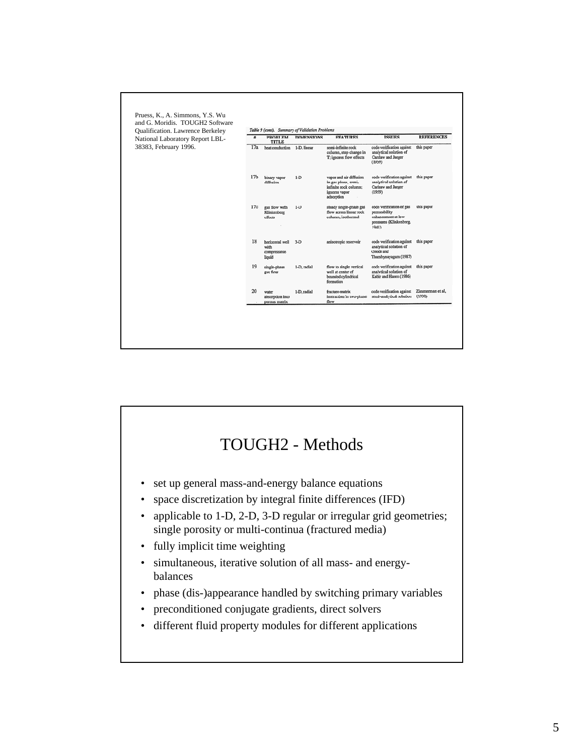

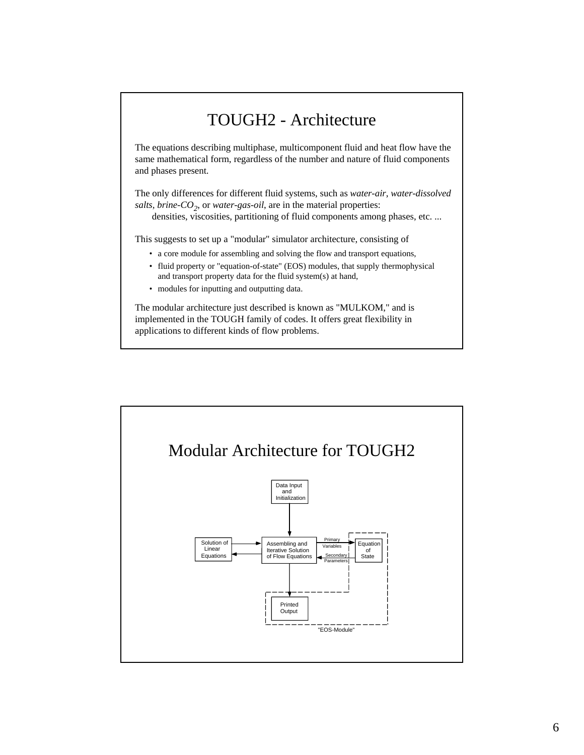## TOUGH2 - Architecture

The equations describing multiphase, multicomponent fluid and heat flow have the same mathematical form, regardless of the number and nature of fluid components and phases present.

The only differences for different fluid systems, such as *water-air*, *water-dissolved salts, brine-CO<sub>2</sub>, or water-gas-oil, are in the material properties:* 

densities, viscosities, partitioning of fluid components among phases, etc. ...

This suggests to set up a "modular" simulator architecture, consisting of

- a core module for assembling and solving the flow and transport equations,
- fluid property or "equation-of-state" (EOS) modules, that supply thermophysical and transport property data for the fluid system(s) at hand,
- modules for inputting and outputting data.

The modular architecture just described is known as "MULKOM," and is implemented in the TOUGH family of codes. It offers great flexibility in applications to different kinds of flow problems.

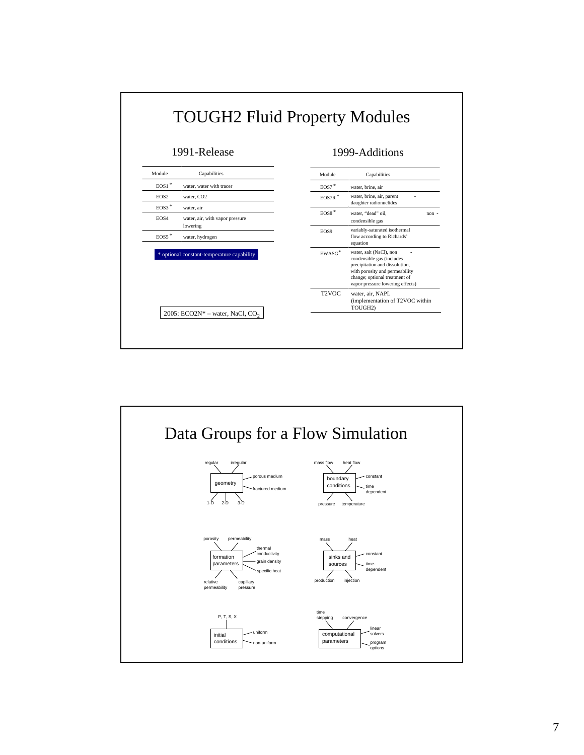

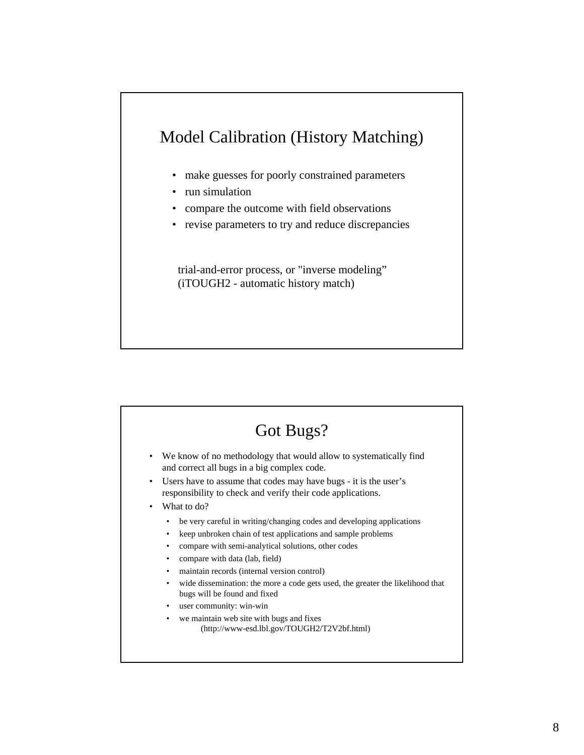## Model Calibration (History Matching)

- make guesses for poorly constrained parameters
- run simulation
- compare the outcome with field observations
- revise parameters to try and reduce discrepancies

trial-and-error process, or "inverse modeling" (iTOUGH2 - automatic history match)

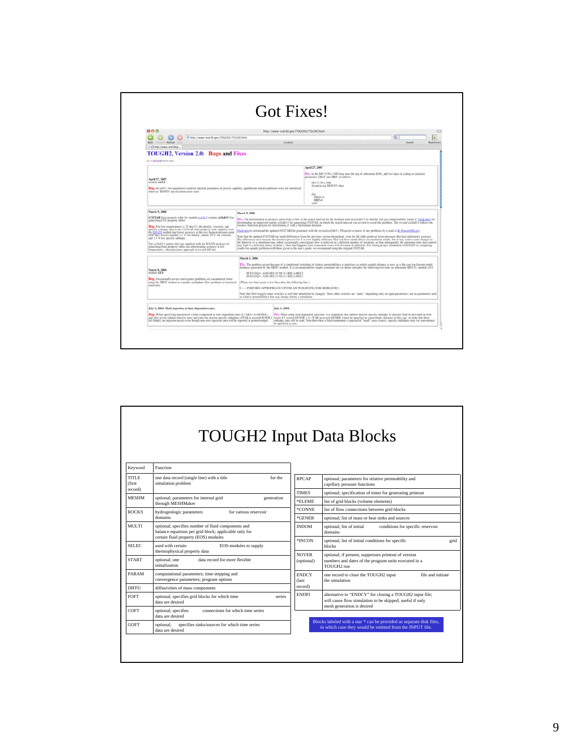| 888                                                                                                                                                                                                        |                                                                                                                                                                                                                                                                                                                                                     |                                           |                                                                                                                                                                                                                                                                                                                                                          |                     |  |
|------------------------------------------------------------------------------------------------------------------------------------------------------------------------------------------------------------|-----------------------------------------------------------------------------------------------------------------------------------------------------------------------------------------------------------------------------------------------------------------------------------------------------------------------------------------------------|-------------------------------------------|----------------------------------------------------------------------------------------------------------------------------------------------------------------------------------------------------------------------------------------------------------------------------------------------------------------------------------------------------------|---------------------|--|
| + http://www-esd.lbl.gov/TOUGH2/TZV2M.html                                                                                                                                                                 |                                                                                                                                                                                                                                                                                                                                                     | http://www-esd.lbl.gov/TOUCH2/T2V2bf.html |                                                                                                                                                                                                                                                                                                                                                          | io-<br>и            |  |
| <b>Amount Reload</b><br>Rack                                                                                                                                                                               |                                                                                                                                                                                                                                                                                                                                                     | Location                                  |                                                                                                                                                                                                                                                                                                                                                          | Search<br>Bookmarks |  |
| Chety://www-esd.bl.g.                                                                                                                                                                                      |                                                                                                                                                                                                                                                                                                                                                     |                                           |                                                                                                                                                                                                                                                                                                                                                          |                     |  |
| <b>TOUGH2</b> , Version 2.0: Bugs and Fixes                                                                                                                                                                |                                                                                                                                                                                                                                                                                                                                                     |                                           |                                                                                                                                                                                                                                                                                                                                                          |                     |  |
| go in 1031,6352 home page                                                                                                                                                                                  |                                                                                                                                                                                                                                                                                                                                                     |                                           | April 27, 2007                                                                                                                                                                                                                                                                                                                                           |                     |  |
|                                                                                                                                                                                                            |                                                                                                                                                                                                                                                                                                                                                     |                                           | Fix . In the DO 33 N+1 NM loop near the top of subroutine EOS, add two lines of coding to initialize                                                                                                                                                                                                                                                     |                     |  |
| April 27, 2007                                                                                                                                                                                             |                                                                                                                                                                                                                                                                                                                                                     |                                           | parameters ZREF and MRP, as follows.                                                                                                                                                                                                                                                                                                                     |                     |  |
| T.Page slobom<br>Bug, In co0.1, two parameters and for internal generation of gravity-capillary equilibrium initial conditions were not initialized                                                        |                                                                                                                                                                                                                                                                                                                                                     |                                           | DO 33 No.LNM<br>if(matin) eq. REFCO') then                                                                                                                                                                                                                                                                                                               |                     |  |
| when no REFCO specifications were used.                                                                                                                                                                    |                                                                                                                                                                                                                                                                                                                                                     |                                           | the                                                                                                                                                                                                                                                                                                                                                      |                     |  |
|                                                                                                                                                                                                            |                                                                                                                                                                                                                                                                                                                                                     |                                           | ZREF=0.<br>MRP=0                                                                                                                                                                                                                                                                                                                                         |                     |  |
|                                                                                                                                                                                                            |                                                                                                                                                                                                                                                                                                                                                     |                                           | mát                                                                                                                                                                                                                                                                                                                                                      |                     |  |
| March 9, 2006                                                                                                                                                                                              | March 9, 2006.                                                                                                                                                                                                                                                                                                                                      |                                           |                                                                                                                                                                                                                                                                                                                                                          |                     |  |
| COZTAB fluid property table for module could f routine endtable for<br>generating CO2 property tables                                                                                                      | Fix. The deterioration in accuracy arose from a flaw in the search interval for the iteration used in co2tab3.1 to find the real gas compressibility factor Z. Click bere for<br>downloading an improved routine co2tab3.f for generating CO2TAB, in which the search interval was revised to avoid this problem. The revised co2tab3.f follows the |                                           |                                                                                                                                                                                                                                                                                                                                                          |                     |  |
| Bug. For low temperatures (< 25 dep-C), the density, viscosity, and<br>specific cothalpy data in the COZTAB fluid property table supplied with                                                             | iterative bioection process for determining Z with a Newtonian iteration.                                                                                                                                                                                                                                                                           |                                           |                                                                                                                                                                                                                                                                                                                                                          |                     |  |
| the ECO2N module had lower accuracy at the very highest pressure point<br>1600 har). Errors trached 3.5 % for density, almost 10 % for viscoury.                                                           |                                                                                                                                                                                                                                                                                                                                                     |                                           | Click here to download the opdated CO2TAB file generated with the revised co2tab3.f. Please let us know of any problems by e-mail to K. Praese@2bl.gov.<br>Note that the updated CO2TAB has small differences from the previous version throughout, even for the table points at lower pressures that had satisfactory accuracy.                         |                     |  |
| and 1.5 % for specific enthalpy.                                                                                                                                                                           |                                                                                                                                                                                                                                                                                                                                                     |                                           | The differences arise because the iteration powers for Z is now slightly different. This will have small effects on simulation results, but it may lead to some changes in<br>the behavior of a simulation run, where occasionally convergence now is achieved in a different number of iterations, so that subsequently the automatic time step control |                     |  |
| The co2tab3.f routine that was supplied with the ECO2N package for<br>generating fluid property tables has deteriorating accuracy at low<br>femperatures, when pressures approach or exceed 600 har        |                                                                                                                                                                                                                                                                                                                                                     |                                           | may lead to a different choice of delta-t. Once that happens, time trancation errors will of course be different. For testing proper installation of ECO2N by comparing<br>results for sample problems with those given in the user's guide, we recommend using the original CO2TAII.                                                                    |                     |  |
|                                                                                                                                                                                                            | March 8, 2006                                                                                                                                                                                                                                                                                                                                       |                                           |                                                                                                                                                                                                                                                                                                                                                          |                     |  |
|                                                                                                                                                                                                            |                                                                                                                                                                                                                                                                                                                                                     |                                           | Fix. The problem occurs because of a conditional switching of relative permeabilities at interfaces in which a nodal distance is zero, as is the case for fracture nodal                                                                                                                                                                                 |                     |  |
| March 8, 2006<br>medale 12f f.                                                                                                                                                                             |                                                                                                                                                                                                                                                                                                                                                     | IF(D1.EQ.0. AND REL 20 NE.0.3 REL1=REL2   | distances generated by the MINC method. It is recommended to simply constrett out (or delete outright) the following two lines in subroutine MULTI, module (2f.f:                                                                                                                                                                                        |                     |  |
| Hug, Occasionally severe convergence problems are encountered when                                                                                                                                         |                                                                                                                                                                                                                                                                                                                                                     | IF(D2 EQ 0 AND REL 10 NE 0 : REL2=REL 1   |                                                                                                                                                                                                                                                                                                                                                          |                     |  |
| using the MINC method to simulate multiphase flow problems in fractured<br>reservoirs.                                                                                                                     | (These two lines occur a few lines after the following line:)                                                                                                                                                                                                                                                                                       |                                           | C  PERFORM APPROPRIATE UPSTREAM WEIGHTING FOR MOBILITIES.                                                                                                                                                                                                                                                                                                |                     |  |
|                                                                                                                                                                                                            |                                                                                                                                                                                                                                                                                                                                                     |                                           | Note that D=0 triggers other switches as well that should not be clunged. These other switches are "static," depending only on input parameters, not on parameters such                                                                                                                                                                                  |                     |  |
|                                                                                                                                                                                                            | as relative permeabilities that may change during a simulation.                                                                                                                                                                                                                                                                                     |                                           |                                                                                                                                                                                                                                                                                                                                                          |                     |  |
| July 8, 2004 Fluid injection at time-dependent rates.                                                                                                                                                      |                                                                                                                                                                                                                                                                                                                                                     | July 8, 2004                              |                                                                                                                                                                                                                                                                                                                                                          |                     |  |
| Bug, When specifying injection of a fluid component at time-dependent rates (LTAB>1 in GENER).<br>and only giving tabular data for times and rates but not for specific enthalpies (ITAB in record GENER.) |                                                                                                                                                                                                                                                                                                                                                     |                                           | Fix. When using time-dependent injection, it is mandatory that tabular data for specific enthalpy of injected fluid be provided as well                                                                                                                                                                                                                  |                     |  |
|                                                                                                                                                                                                            |                                                                                                                                                                                                                                                                                                                                                     |                                           | (array F3, record GENER 1.5). ITAB in record GENER, I must be specified as a non-blank character in this case, in order that these                                                                                                                                                                                                                       |                     |  |

|                             | <b>TOUGH2</b> Input Data Blocks                                                                             |                                                                                                                                                                                                                                                                                                                                                                                                                                                                                                                                                                                                                                                                                                                                                                                                                                                                                                                                                                                                                                                                                                                                                                                                                                           |                                                                                                                                  |
|-----------------------------|-------------------------------------------------------------------------------------------------------------|-------------------------------------------------------------------------------------------------------------------------------------------------------------------------------------------------------------------------------------------------------------------------------------------------------------------------------------------------------------------------------------------------------------------------------------------------------------------------------------------------------------------------------------------------------------------------------------------------------------------------------------------------------------------------------------------------------------------------------------------------------------------------------------------------------------------------------------------------------------------------------------------------------------------------------------------------------------------------------------------------------------------------------------------------------------------------------------------------------------------------------------------------------------------------------------------------------------------------------------------|----------------------------------------------------------------------------------------------------------------------------------|
| Keyword                     | Function                                                                                                    | for the<br><b>RPCAP</b><br>optional; parameters for relative permeability and<br>capillary pressure functions<br><b>TIMES</b><br>optional; specification of times for generating printout<br>optional; parameters for internal grid<br>generation<br>*ELEME<br>list of grid blocks (volume elements)<br>*CONNE<br>list of flow connections between grid blocks<br>for various reservoir<br>*GENER<br>optional; list of mass or heat sinks and sources<br><b>INDOM</b><br>optional: list of initial<br>conditions for specific reservoir<br>domains<br>certain fluid property (EOS) modules<br>*INCON<br>optional; list of initial conditions for specific<br>grid<br>EOS-modules to supply<br>blocks<br><b>NOVER</b><br>optional; if present, suppresses printout of version<br>data record for more flexible.<br>numbers and dates of the program units executed in a<br>(optional)<br>TOUGH2 run<br><b>ENDCY</b><br>one record to close the TOUGH2 input<br>file and initiate<br>the simulation<br>(last<br>record)<br><b>ENDFI</b><br>alternative to "ENDCY" for closing a TOUGH2 input file;<br>series<br>will cause flow simulation to be skipped; useful if only<br>mesh generation is desired<br>connections for which time series |                                                                                                                                  |
| TITLE.<br>(first<br>record) | one data record (single line) with a title<br>simulation problem                                            |                                                                                                                                                                                                                                                                                                                                                                                                                                                                                                                                                                                                                                                                                                                                                                                                                                                                                                                                                                                                                                                                                                                                                                                                                                           |                                                                                                                                  |
| <b>MESHM</b>                |                                                                                                             |                                                                                                                                                                                                                                                                                                                                                                                                                                                                                                                                                                                                                                                                                                                                                                                                                                                                                                                                                                                                                                                                                                                                                                                                                                           |                                                                                                                                  |
|                             | through MESHMaker                                                                                           |                                                                                                                                                                                                                                                                                                                                                                                                                                                                                                                                                                                                                                                                                                                                                                                                                                                                                                                                                                                                                                                                                                                                                                                                                                           |                                                                                                                                  |
| <b>ROCKS</b>                | hydrogeologic parameters                                                                                    |                                                                                                                                                                                                                                                                                                                                                                                                                                                                                                                                                                                                                                                                                                                                                                                                                                                                                                                                                                                                                                                                                                                                                                                                                                           |                                                                                                                                  |
|                             | domains                                                                                                     |                                                                                                                                                                                                                                                                                                                                                                                                                                                                                                                                                                                                                                                                                                                                                                                                                                                                                                                                                                                                                                                                                                                                                                                                                                           |                                                                                                                                  |
| MULTI                       | optional; specifies number of fluid components and<br>balance equations per grid block; applicable only for |                                                                                                                                                                                                                                                                                                                                                                                                                                                                                                                                                                                                                                                                                                                                                                                                                                                                                                                                                                                                                                                                                                                                                                                                                                           |                                                                                                                                  |
| <b>SELEC</b>                | used with certain<br>thermophysical property data                                                           |                                                                                                                                                                                                                                                                                                                                                                                                                                                                                                                                                                                                                                                                                                                                                                                                                                                                                                                                                                                                                                                                                                                                                                                                                                           |                                                                                                                                  |
| <b>START</b>                | optional; one<br>initialization                                                                             |                                                                                                                                                                                                                                                                                                                                                                                                                                                                                                                                                                                                                                                                                                                                                                                                                                                                                                                                                                                                                                                                                                                                                                                                                                           |                                                                                                                                  |
| PARAM                       | computational parameters; time stepping and<br>convergence parameters; program options                      |                                                                                                                                                                                                                                                                                                                                                                                                                                                                                                                                                                                                                                                                                                                                                                                                                                                                                                                                                                                                                                                                                                                                                                                                                                           |                                                                                                                                  |
| <b>DIFFU</b>                | diffusivities of mass components                                                                            |                                                                                                                                                                                                                                                                                                                                                                                                                                                                                                                                                                                                                                                                                                                                                                                                                                                                                                                                                                                                                                                                                                                                                                                                                                           |                                                                                                                                  |
| <b>FOFT</b>                 | optional; specifies grid blocks for which time<br>data are desired                                          |                                                                                                                                                                                                                                                                                                                                                                                                                                                                                                                                                                                                                                                                                                                                                                                                                                                                                                                                                                                                                                                                                                                                                                                                                                           |                                                                                                                                  |
| COFT                        | optional: specifies<br>data are desired                                                                     |                                                                                                                                                                                                                                                                                                                                                                                                                                                                                                                                                                                                                                                                                                                                                                                                                                                                                                                                                                                                                                                                                                                                                                                                                                           |                                                                                                                                  |
| <b>GOFT</b>                 | specifies sinks/sources for which time series<br>optional:<br>data are desired                              |                                                                                                                                                                                                                                                                                                                                                                                                                                                                                                                                                                                                                                                                                                                                                                                                                                                                                                                                                                                                                                                                                                                                                                                                                                           | Blocks labeled with a star * can be provided as separate disk files,<br>in which case they would be omitted from the INPUT file. |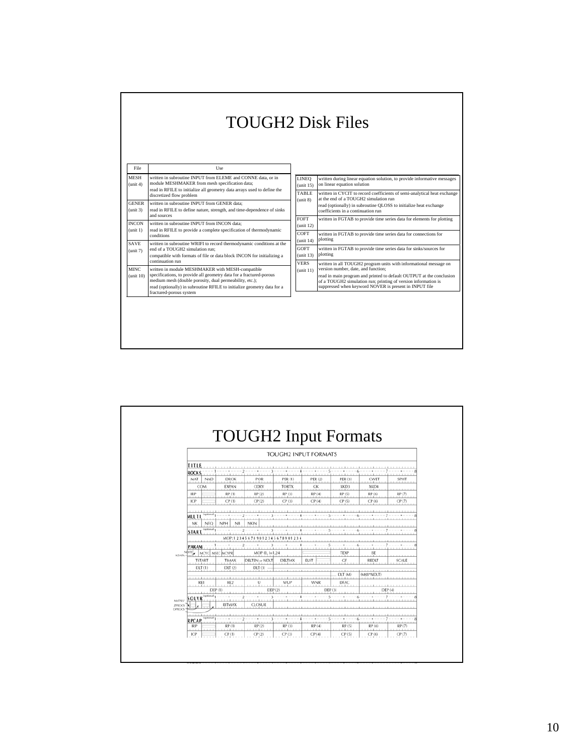|                              | <b>TOUGH2 Disk Files</b>                                                                                                                                                                                                                                                                 |                                                                                               |                                                                                                                                                                                                                                         |  |
|------------------------------|------------------------------------------------------------------------------------------------------------------------------------------------------------------------------------------------------------------------------------------------------------------------------------------|-----------------------------------------------------------------------------------------------|-----------------------------------------------------------------------------------------------------------------------------------------------------------------------------------------------------------------------------------------|--|
| File                         | <b>Use</b>                                                                                                                                                                                                                                                                               |                                                                                               |                                                                                                                                                                                                                                         |  |
| <b>MESH</b><br>(unit 4)      | written in subroutine INPUT from ELEME and CONNE data, or in<br>module MESHMAKER from mesh specification data;<br>read in RFILE to initialize all geometry data arrays used to define the                                                                                                | <b>LINEQ</b><br>unit $15$ )                                                                   | written during linear equation solution, to provide informative messages<br>on linear equation solution                                                                                                                                 |  |
|                              | discretized flow problem                                                                                                                                                                                                                                                                 | TABLE<br>written in CYCIT to record coefficients of semi-analytical heat exchange<br>(unit 8) |                                                                                                                                                                                                                                         |  |
| <b>GENER</b><br>(unit 3)     | written in subroutine INPUT from GENER data:<br>read in RFILE to define nature, strength, and time-dependence of sinks                                                                                                                                                                   |                                                                                               | at the end of a TOUGH2 simulation run<br>read (optionally) in subroutine QLOSS to initialize heat exchange<br>coefficients in a continuation run                                                                                        |  |
| <b>INCON</b>                 | and sources<br>written in subroutine INPUT from INCON data:                                                                                                                                                                                                                              | FOFT                                                                                          | written in FGTAB to provide time series data for elements for plotting                                                                                                                                                                  |  |
| (unit 1)                     | read in RFILE to provide a complete specification of thermodynamic<br>conditions                                                                                                                                                                                                         | unit 12 $)$<br>COFT                                                                           | written in FGTAB to provide time series data for connections for                                                                                                                                                                        |  |
| <b>SAVE</b>                  | written in subroutine WRIFI to record thermodynamic conditions at the                                                                                                                                                                                                                    | unit 14 $)$                                                                                   | plotting                                                                                                                                                                                                                                |  |
| (unit 7)                     | end of a TOUGH2 simulation run:                                                                                                                                                                                                                                                          | GOFT<br>unit 13 $)$                                                                           | written in FGTAB to provide time series data for sinks/sources for<br>plotting                                                                                                                                                          |  |
|                              | compatible with formats of file or data block INCON for initializing a<br>continuation run                                                                                                                                                                                               | <b>VERS</b>                                                                                   | written in all TOUGH2 program units with informational message on                                                                                                                                                                       |  |
| <b>MINC</b><br>$t$ unit $10$ | written in module MESHMAKER with MESH-compatible<br>specifications, to provide all geometry data for a fractured-porous<br>medium mesh (double porosity, dual permeability, etc.);<br>read (optionally) in subroutine RFILE to initialize geometry data for a<br>fractured-porous system | unit $11)$                                                                                    | version number, date, and function;<br>read in main program and printed to default OUTPUT at the conclusion<br>of a TOUGH2 simulation run; printing of version information is<br>suppressed when keyword NOVER is present in INPUT file |  |
|                              |                                                                                                                                                                                                                                                                                          |                                                                                               |                                                                                                                                                                                                                                         |  |

|                           |               |                 |                               |                | <b>TOUGH2 INPUT FORMATS</b> |                |            |             |
|---------------------------|---------------|-----------------|-------------------------------|----------------|-----------------------------|----------------|------------|-------------|
| <b>TITLE</b>              |               |                 |                               |                |                             |                |            |             |
| <b>ROCKS</b>              |               |                 |                               |                |                             |                |            |             |
| MAT                       | <b>NAD</b>    | <b>DROK</b>     | POR                           | <b>PER (1)</b> | PER (2)                     | <b>PER (3)</b> | CWET       | <b>SPHT</b> |
|                           | COM           | <b>EXPAN</b>    | <b>CDRY</b>                   | <b>TORTX</b>   | GK                          | XKD3           | XKD4       |             |
| <b>IRP</b>                |               | RP(1)           | RP(2)                         | RP (3)         | RP(4)                       | RP (5)         | RP (6)     | RP (7)      |
| ICP                       |               | CP(1)           | CP(2)                         | CP(3)          | CP(4)                       | CP(5)          | CP(6)      | CP(7)       |
|                           |               |                 |                               |                |                             |                |            |             |
| MULT.I.                   |               |                 |                               |                |                             |                |            |             |
| NK                        | <b>NEO</b>    | NPH<br>NB       | <b>NKIN</b>                   |                |                             |                |            |             |
| <b>START</b>              | (optional).   |                 |                               |                |                             |                |            |             |
|                           |               |                 | MOP: 123456789012345678901234 |                |                             |                |            |             |
| <b>PARAM</b>              |               |                 |                               |                |                             |                |            |             |
| $N$ DITE $\sim$<br>KDATA- | MCYC          | MSEC MCYPR      | $MOP$ (1), $I=1,24$           |                |                             | TEXP           | BE         |             |
|                           | <b>TSTART</b> | TIMAX           | DELTEN or NDLT                | DELTMX         | <b>ELST</b>                 | GF             | REDLT      | SCALE       |
|                           | DLT(1)        | DLT(2)          | DLT(3)                        |                |                             | $-111$         |            |             |
|                           | .             |                 |                               |                |                             | DLT (M)        | (MS8*NDLT) |             |
|                           | RE1           | RE <sub>2</sub> | Y                             | <b>WUP</b>     | <b>WNR</b>                  | DFAC           |            | .           |
|                           | DEF(1)        |                 | <b>DEP (2)</b>                |                |                             | DEF (3)        |            | DEF (4)     |
| SOLVR<br><b>MATSLV</b>    | (optional     |                 |                               |                |                             |                |            |             |
| <b>ZPROCS</b><br>×        |               | RITMAX          | <b>CLOSUR</b>                 |                |                             |                |            |             |
| <b>DPROCS</b>             |               |                 |                               |                |                             |                |            |             |
| <b>RPCAP</b>              | optional      |                 |                               |                |                             |                |            |             |
| <b>IRP</b>                |               | RP (1)          | RP (2)                        | RP (3)         | RP (4)                      | RP (5)         | RP (6)     | RP (7)      |
| ICP.                      |               | CP(1)           | CP(2)                         | CP(3)          | CP(4)                       | CP(5)          | CP(6)      | CP(7)       |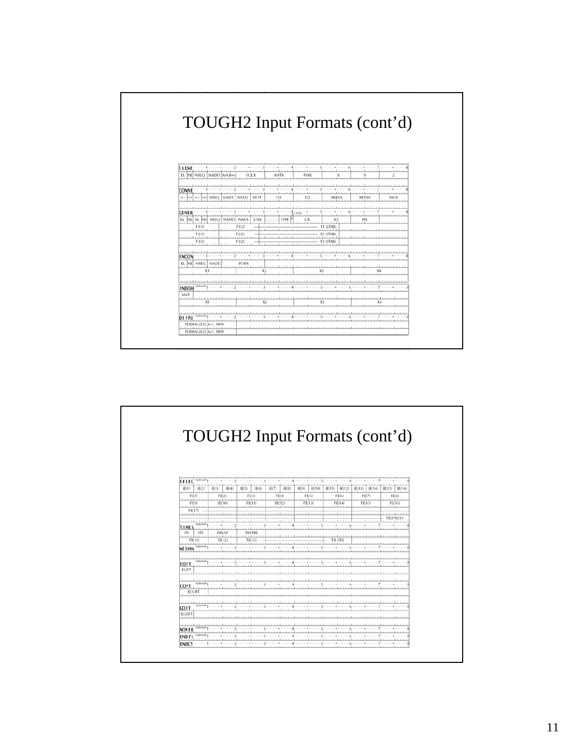